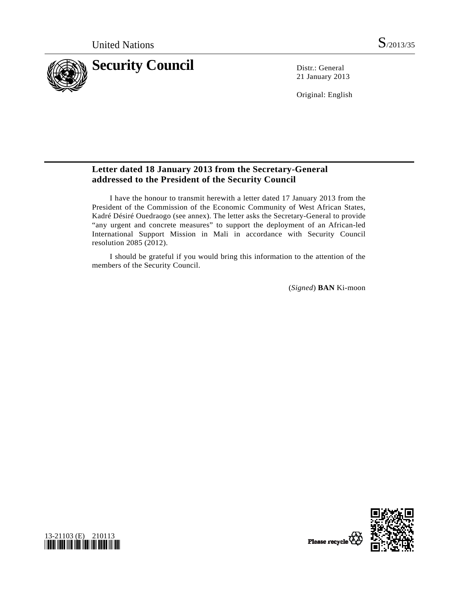

21 January 2013

Original: English

## **Letter dated 18 January 2013 from the Secretary-General addressed to the President of the Security Council**

 I have the honour to transmit herewith a letter dated 17 January 2013 from the President of the Commission of the Economic Community of West African States, Kadré Désiré Ouedraogo (see annex). The letter asks the Secretary-General to provide "any urgent and concrete measures" to support the deployment of an African-led International Support Mission in Mali in accordance with Security Council resolution 2085 (2012).

 I should be grateful if you would bring this information to the attention of the members of the Security Council.

(*Signed*) **BAN** Ki-moon